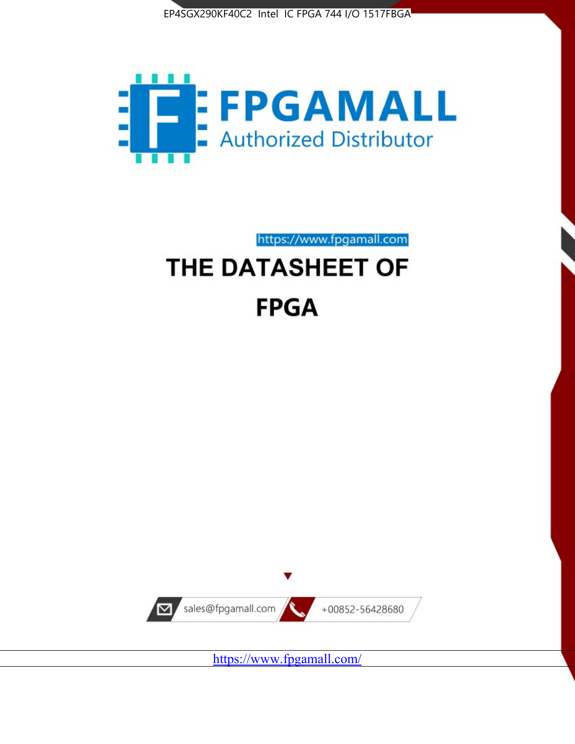



https://www.fpgamall.com

# THE DATASHEET OF **FPGA**



<https://www.fpgamall.com/>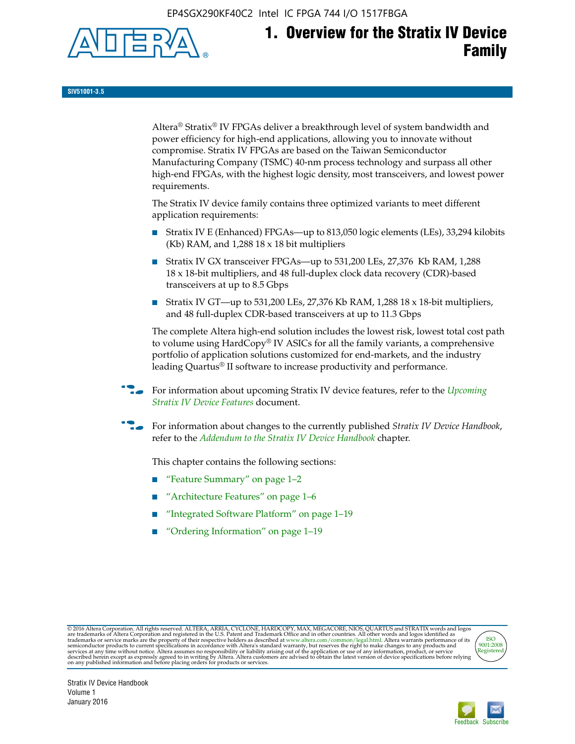EP4SGX290KF40C2 Intel IC FPGA 744 I/O 1517FBGA



# **1. Overview for the Stratix IV Device Family**

**SIV51001-3.5**

Altera® Stratix® IV FPGAs deliver a breakthrough level of system bandwidth and power efficiency for high-end applications, allowing you to innovate without compromise. Stratix IV FPGAs are based on the Taiwan Semiconductor Manufacturing Company (TSMC) 40-nm process technology and surpass all other high-end FPGAs, with the highest logic density, most transceivers, and lowest power requirements.

The Stratix IV device family contains three optimized variants to meet different application requirements:

- Stratix IV E (Enhanced) FPGAs—up to 813,050 logic elements (LEs), 33,294 kilobits (Kb) RAM, and 1,288 18 x 18 bit multipliers
- Stratix IV GX transceiver FPGAs—up to 531,200 LEs, 27,376 Kb RAM, 1,288 18 x 18-bit multipliers, and 48 full-duplex clock data recovery (CDR)-based transceivers at up to 8.5 Gbps
- Stratix IV GT—up to 531,200 LEs, 27,376 Kb RAM, 1,288 18 x 18-bit multipliers, and 48 full-duplex CDR-based transceivers at up to 11.3 Gbps

The complete Altera high-end solution includes the lowest risk, lowest total cost path to volume using HardCopy® IV ASICs for all the family variants, a comprehensive portfolio of application solutions customized for end-markets, and the industry leading Quartus® II software to increase productivity and performance.

f For information about upcoming Stratix IV device features, refer to the *[Upcoming](http://www.altera.com/literature/hb/stratix-iv/uf01001.pdf?GSA_pos=2&WT.oss_r=1&WT.oss=upcoming)  [Stratix IV Device Features](http://www.altera.com/literature/hb/stratix-iv/uf01001.pdf?GSA_pos=2&WT.oss_r=1&WT.oss=upcoming)* document.

f For information about changes to the currently published *Stratix IV Device Handbook*, refer to the *[Addendum to the Stratix IV Device Handbook](http://www.altera.com/literature/hb/stratix-iv/stx4_siv54002.pdf)* chapter.

This chapter contains the following sections:

- "Feature Summary" on page 1–2
- "Architecture Features" on page 1–6
- "Integrated Software Platform" on page 1–19
- "Ordering Information" on page 1–19

@2016 Altera Corporation. All rights reserved. ALTERA, ARRIA, CYCLONE, HARDCOPY, MAX, MEGACORE, NIOS, QUARTUS and STRATIX words and logos are trademarks of Altera Corporation and registered in the U.S. Patent and Trademark



Stratix IV Device Handbook Volume 1 January 2016

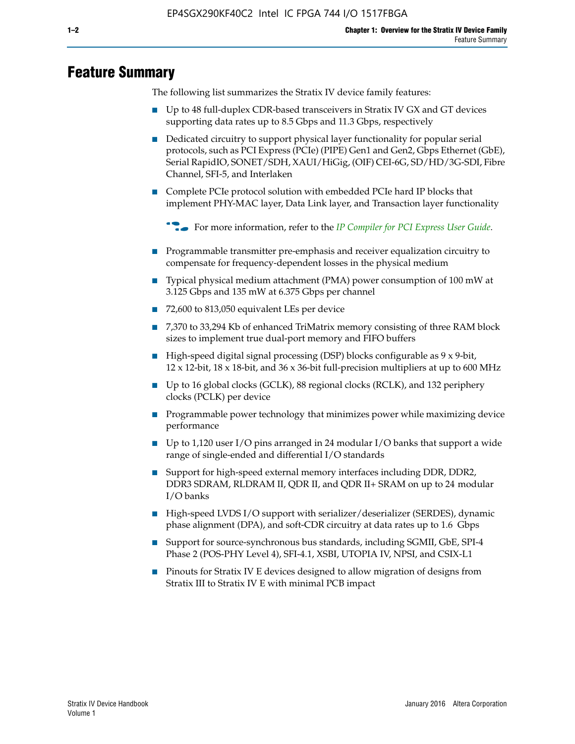# **Feature Summary**

The following list summarizes the Stratix IV device family features:

- Up to 48 full-duplex CDR-based transceivers in Stratix IV GX and GT devices supporting data rates up to 8.5 Gbps and 11.3 Gbps, respectively
- Dedicated circuitry to support physical layer functionality for popular serial protocols, such as PCI Express (PCIe) (PIPE) Gen1 and Gen2, Gbps Ethernet (GbE), Serial RapidIO, SONET/SDH, XAUI/HiGig, (OIF) CEI-6G, SD/HD/3G-SDI, Fibre Channel, SFI-5, and Interlaken
- Complete PCIe protocol solution with embedded PCIe hard IP blocks that implement PHY-MAC layer, Data Link layer, and Transaction layer functionality

**For more information, refer to the** *[IP Compiler for PCI Express User Guide](http://www.altera.com/literature/ug/ug_pci_express.pdf)***.** 

- Programmable transmitter pre-emphasis and receiver equalization circuitry to compensate for frequency-dependent losses in the physical medium
- Typical physical medium attachment (PMA) power consumption of 100 mW at 3.125 Gbps and 135 mW at 6.375 Gbps per channel
- 72,600 to 813,050 equivalent LEs per device
- 7,370 to 33,294 Kb of enhanced TriMatrix memory consisting of three RAM block sizes to implement true dual-port memory and FIFO buffers
- High-speed digital signal processing (DSP) blocks configurable as 9 x 9-bit,  $12 \times 12$ -bit,  $18 \times 18$ -bit, and  $36 \times 36$ -bit full-precision multipliers at up to 600 MHz
- Up to 16 global clocks (GCLK), 88 regional clocks (RCLK), and 132 periphery clocks (PCLK) per device
- Programmable power technology that minimizes power while maximizing device performance
- Up to 1,120 user I/O pins arranged in 24 modular I/O banks that support a wide range of single-ended and differential I/O standards
- Support for high-speed external memory interfaces including DDR, DDR2, DDR3 SDRAM, RLDRAM II, QDR II, and QDR II+ SRAM on up to 24 modular I/O banks
- High-speed LVDS I/O support with serializer/deserializer (SERDES), dynamic phase alignment (DPA), and soft-CDR circuitry at data rates up to 1.6 Gbps
- Support for source-synchronous bus standards, including SGMII, GbE, SPI-4 Phase 2 (POS-PHY Level 4), SFI-4.1, XSBI, UTOPIA IV, NPSI, and CSIX-L1
- Pinouts for Stratix IV E devices designed to allow migration of designs from Stratix III to Stratix IV E with minimal PCB impact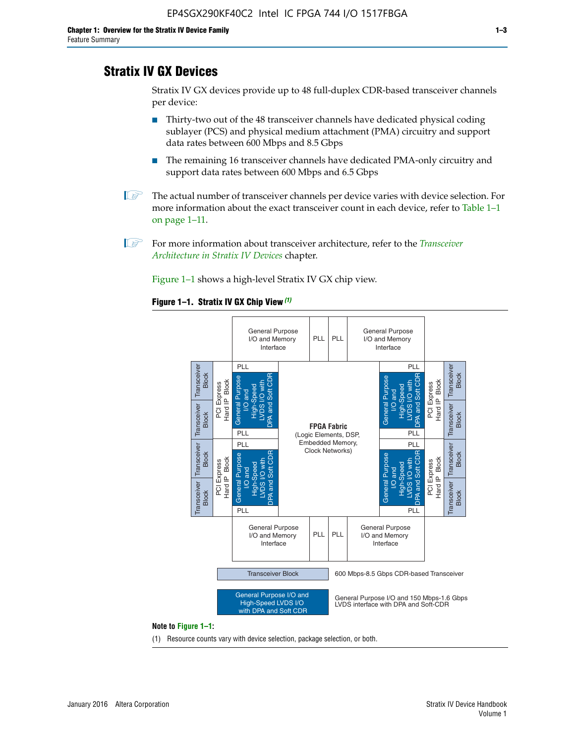# **Stratix IV GX Devices**

Stratix IV GX devices provide up to 48 full-duplex CDR-based transceiver channels per device:

- Thirty-two out of the 48 transceiver channels have dedicated physical coding sublayer (PCS) and physical medium attachment (PMA) circuitry and support data rates between 600 Mbps and 8.5 Gbps
- The remaining 16 transceiver channels have dedicated PMA-only circuitry and support data rates between 600 Mbps and 6.5 Gbps
- **1 The actual number of transceiver channels per device varies with device selection. For** more information about the exact transceiver count in each device, refer to Table 1–1 on page 1–11.
- 1 For more information about transceiver architecture, refer to the *[Transceiver](http://www.altera.com/literature/hb/stratix-iv/stx4_siv52001.pdf)  [Architecture in Stratix IV Devices](http://www.altera.com/literature/hb/stratix-iv/stx4_siv52001.pdf)* chapter.

Figure 1–1 shows a high-level Stratix IV GX chip view.

#### **Figure 1–1. Stratix IV GX Chip View** *(1)*



#### **Note to Figure 1–1:**

(1) Resource counts vary with device selection, package selection, or both.

January 2016 Altera Corporation Stratis IV Device Handbook Stratix IV Device Handbook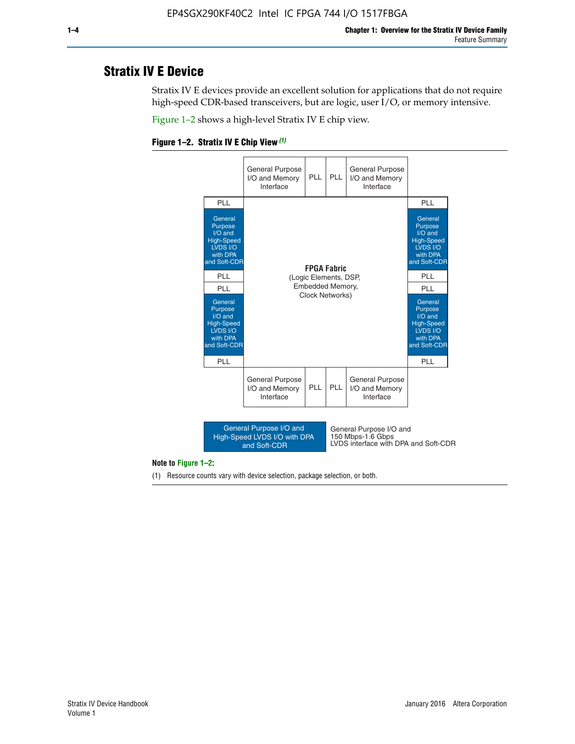## **Stratix IV E Device**

Stratix IV E devices provide an excellent solution for applications that do not require high-speed CDR-based transceivers, but are logic, user I/O, or memory intensive.

Figure 1–2 shows a high-level Stratix IV E chip view.





#### **Note to Figure 1–2:**

(1) Resource counts vary with device selection, package selection, or both.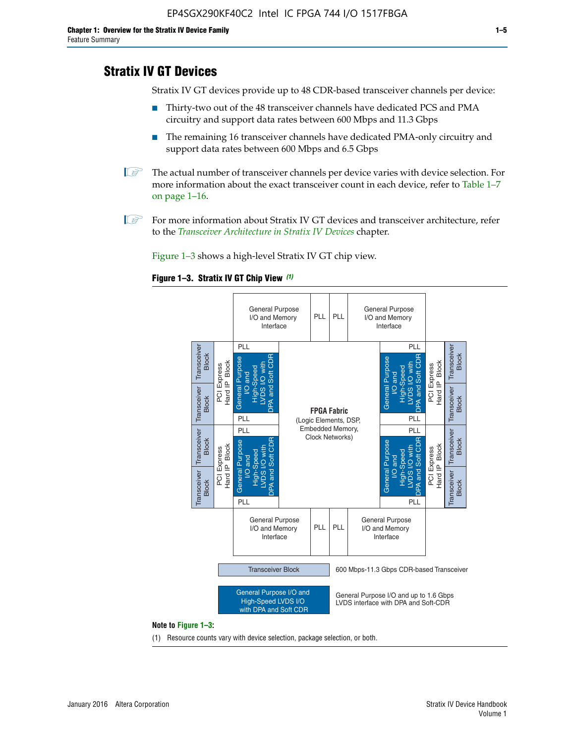# **Stratix IV GT Devices**

Stratix IV GT devices provide up to 48 CDR-based transceiver channels per device:

- Thirty-two out of the 48 transceiver channels have dedicated PCS and PMA circuitry and support data rates between 600 Mbps and 11.3 Gbps
- The remaining 16 transceiver channels have dedicated PMA-only circuitry and support data rates between 600 Mbps and 6.5 Gbps
- **1** The actual number of transceiver channels per device varies with device selection. For more information about the exact transceiver count in each device, refer to Table 1–7 on page 1–16.
- $\mathbb{I}$  For more information about Stratix IV GT devices and transceiver architecture, refer to the *[Transceiver Architecture in Stratix IV Devices](http://www.altera.com/literature/hb/stratix-iv/stx4_siv52001.pdf)* chapter.

Figure 1–3 shows a high-level Stratix IV GT chip view.

#### **Figure 1–3. Stratix IV GT Chip View** *(1)*



(1) Resource counts vary with device selection, package selection, or both.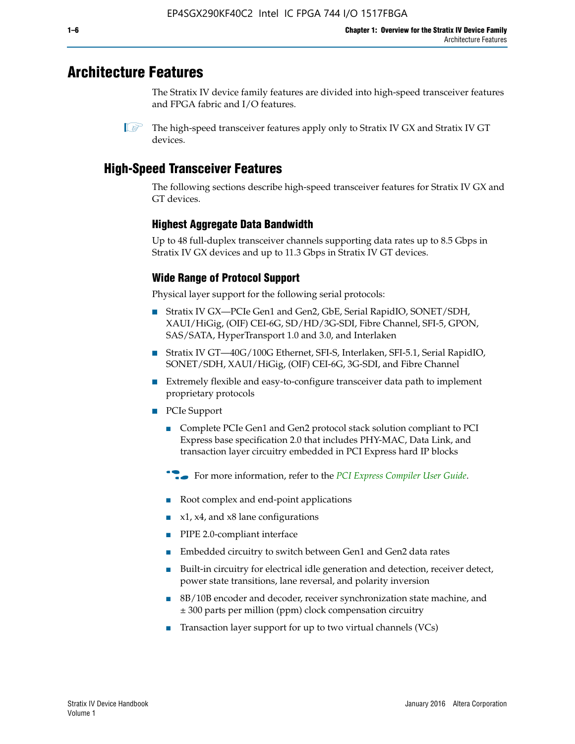# **Architecture Features**

The Stratix IV device family features are divided into high-speed transceiver features and FPGA fabric and I/O features.

 $\mathbb{I}$  The high-speed transceiver features apply only to Stratix IV GX and Stratix IV GT devices.

# **High-Speed Transceiver Features**

The following sections describe high-speed transceiver features for Stratix IV GX and GT devices.

## **Highest Aggregate Data Bandwidth**

Up to 48 full-duplex transceiver channels supporting data rates up to 8.5 Gbps in Stratix IV GX devices and up to 11.3 Gbps in Stratix IV GT devices.

## **Wide Range of Protocol Support**

Physical layer support for the following serial protocols:

- Stratix IV GX—PCIe Gen1 and Gen2, GbE, Serial RapidIO, SONET/SDH, XAUI/HiGig, (OIF) CEI-6G, SD/HD/3G-SDI, Fibre Channel, SFI-5, GPON, SAS/SATA, HyperTransport 1.0 and 3.0, and Interlaken
- Stratix IV GT—40G/100G Ethernet, SFI-S, Interlaken, SFI-5.1, Serial RapidIO, SONET/SDH, XAUI/HiGig, (OIF) CEI-6G, 3G-SDI, and Fibre Channel
- Extremely flexible and easy-to-configure transceiver data path to implement proprietary protocols
- PCIe Support
	- Complete PCIe Gen1 and Gen2 protocol stack solution compliant to PCI Express base specification 2.0 that includes PHY-MAC, Data Link, and transaction layer circuitry embedded in PCI Express hard IP blocks
	- **For more information, refer to the [PCI Express Compiler User Guide](http://www.altera.com/literature/ug/ug_pci_express.pdf).**
	- Root complex and end-point applications
	- $x1, x4,$  and  $x8$  lane configurations
	- PIPE 2.0-compliant interface
	- Embedded circuitry to switch between Gen1 and Gen2 data rates
	- Built-in circuitry for electrical idle generation and detection, receiver detect, power state transitions, lane reversal, and polarity inversion
	- 8B/10B encoder and decoder, receiver synchronization state machine, and ± 300 parts per million (ppm) clock compensation circuitry
	- Transaction layer support for up to two virtual channels (VCs)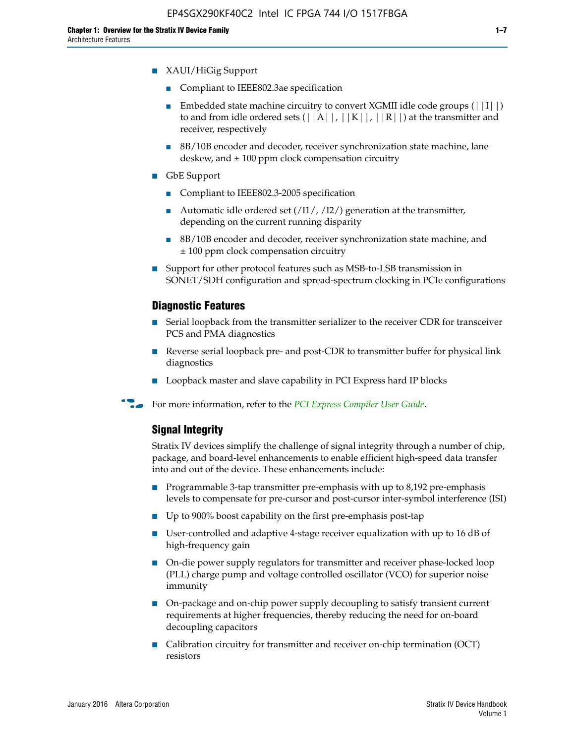- Compliant to IEEE802.3ae specification
- **■** Embedded state machine circuitry to convert XGMII idle code groups  $(|11|)$ to and from idle ordered sets  $(|A|, |K|, |R|)$  at the transmitter and receiver, respectively
- 8B/10B encoder and decoder, receiver synchronization state machine, lane deskew, and  $\pm 100$  ppm clock compensation circuitry
- GbE Support
	- Compliant to IEEE802.3-2005 specification
	- Automatic idle ordered set  $(111/112/1)$  generation at the transmitter, depending on the current running disparity
	- 8B/10B encoder and decoder, receiver synchronization state machine, and ± 100 ppm clock compensation circuitry
- Support for other protocol features such as MSB-to-LSB transmission in SONET/SDH configuration and spread-spectrum clocking in PCIe configurations

## **Diagnostic Features**

- Serial loopback from the transmitter serializer to the receiver CDR for transceiver PCS and PMA diagnostics
- Reverse serial loopback pre- and post-CDR to transmitter buffer for physical link diagnostics
- Loopback master and slave capability in PCI Express hard IP blocks
- **For more information, refer to the** *[PCI Express Compiler User Guide](http://www.altera.com/literature/ug/ug_pci_express.pdf)***.**

## **Signal Integrity**

Stratix IV devices simplify the challenge of signal integrity through a number of chip, package, and board-level enhancements to enable efficient high-speed data transfer into and out of the device. These enhancements include:

- Programmable 3-tap transmitter pre-emphasis with up to 8,192 pre-emphasis levels to compensate for pre-cursor and post-cursor inter-symbol interference (ISI)
- Up to 900% boost capability on the first pre-emphasis post-tap
- User-controlled and adaptive 4-stage receiver equalization with up to 16 dB of high-frequency gain
- On-die power supply regulators for transmitter and receiver phase-locked loop (PLL) charge pump and voltage controlled oscillator (VCO) for superior noise immunity
- On-package and on-chip power supply decoupling to satisfy transient current requirements at higher frequencies, thereby reducing the need for on-board decoupling capacitors
- Calibration circuitry for transmitter and receiver on-chip termination (OCT) resistors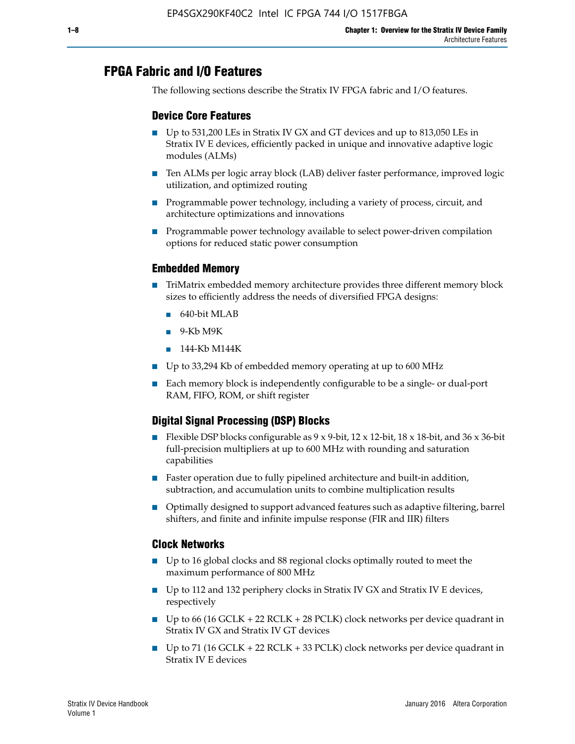# **FPGA Fabric and I/O Features**

The following sections describe the Stratix IV FPGA fabric and I/O features.

## **Device Core Features**

- Up to 531,200 LEs in Stratix IV GX and GT devices and up to 813,050 LEs in Stratix IV E devices, efficiently packed in unique and innovative adaptive logic modules (ALMs)
- Ten ALMs per logic array block (LAB) deliver faster performance, improved logic utilization, and optimized routing
- Programmable power technology, including a variety of process, circuit, and architecture optimizations and innovations
- Programmable power technology available to select power-driven compilation options for reduced static power consumption

## **Embedded Memory**

- TriMatrix embedded memory architecture provides three different memory block sizes to efficiently address the needs of diversified FPGA designs:
	- 640-bit MLAB
	- 9-Kb M9K
	- 144-Kb M144K
- Up to 33,294 Kb of embedded memory operating at up to 600 MHz
- Each memory block is independently configurable to be a single- or dual-port RAM, FIFO, ROM, or shift register

## **Digital Signal Processing (DSP) Blocks**

- Flexible DSP blocks configurable as  $9 \times 9$ -bit,  $12 \times 12$ -bit,  $18 \times 18$ -bit, and  $36 \times 36$ -bit full-precision multipliers at up to 600 MHz with rounding and saturation capabilities
- Faster operation due to fully pipelined architecture and built-in addition, subtraction, and accumulation units to combine multiplication results
- Optimally designed to support advanced features such as adaptive filtering, barrel shifters, and finite and infinite impulse response (FIR and IIR) filters

#### **Clock Networks**

- Up to 16 global clocks and 88 regional clocks optimally routed to meet the maximum performance of 800 MHz
- Up to 112 and 132 periphery clocks in Stratix IV GX and Stratix IV E devices, respectively
- Up to 66 (16 GCLK + 22 RCLK + 28 PCLK) clock networks per device quadrant in Stratix IV GX and Stratix IV GT devices
- Up to 71 (16 GCLK + 22 RCLK + 33 PCLK) clock networks per device quadrant in Stratix IV E devices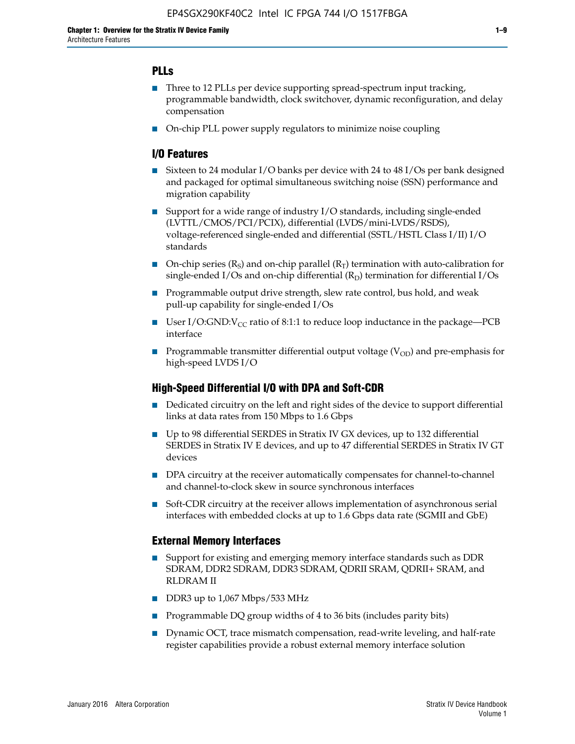## **PLLs**

- Three to 12 PLLs per device supporting spread-spectrum input tracking, programmable bandwidth, clock switchover, dynamic reconfiguration, and delay compensation
- On-chip PLL power supply regulators to minimize noise coupling

## **I/O Features**

- Sixteen to 24 modular I/O banks per device with 24 to 48 I/Os per bank designed and packaged for optimal simultaneous switching noise (SSN) performance and migration capability
- Support for a wide range of industry I/O standards, including single-ended (LVTTL/CMOS/PCI/PCIX), differential (LVDS/mini-LVDS/RSDS), voltage-referenced single-ended and differential (SSTL/HSTL Class I/II) I/O standards
- **O**n-chip series  $(R_S)$  and on-chip parallel  $(R_T)$  termination with auto-calibration for single-ended I/Os and on-chip differential  $(R_D)$  termination for differential I/Os
- Programmable output drive strength, slew rate control, bus hold, and weak pull-up capability for single-ended I/Os
- User I/O:GND: $V_{CC}$  ratio of 8:1:1 to reduce loop inductance in the package—PCB interface
- **■** Programmable transmitter differential output voltage ( $V_{OD}$ ) and pre-emphasis for high-speed LVDS I/O

#### **High-Speed Differential I/O with DPA and Soft-CDR**

- Dedicated circuitry on the left and right sides of the device to support differential links at data rates from 150 Mbps to 1.6 Gbps
- Up to 98 differential SERDES in Stratix IV GX devices, up to 132 differential SERDES in Stratix IV E devices, and up to 47 differential SERDES in Stratix IV GT devices
- DPA circuitry at the receiver automatically compensates for channel-to-channel and channel-to-clock skew in source synchronous interfaces
- Soft-CDR circuitry at the receiver allows implementation of asynchronous serial interfaces with embedded clocks at up to 1.6 Gbps data rate (SGMII and GbE)

#### **External Memory Interfaces**

- Support for existing and emerging memory interface standards such as DDR SDRAM, DDR2 SDRAM, DDR3 SDRAM, QDRII SRAM, QDRII+ SRAM, and RLDRAM II
- DDR3 up to 1,067 Mbps/533 MHz
- Programmable DQ group widths of 4 to 36 bits (includes parity bits)
- Dynamic OCT, trace mismatch compensation, read-write leveling, and half-rate register capabilities provide a robust external memory interface solution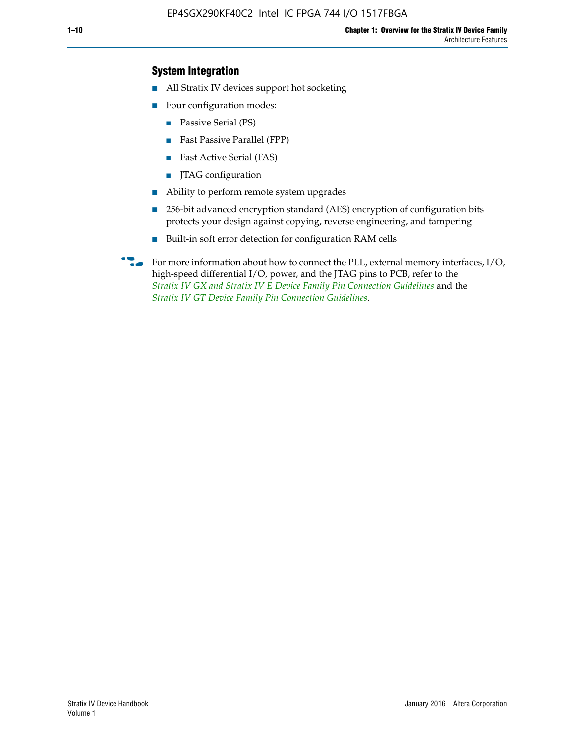## **System Integration**

- All Stratix IV devices support hot socketing
- Four configuration modes:
	- Passive Serial (PS)
	- Fast Passive Parallel (FPP)
	- Fast Active Serial (FAS)
	- JTAG configuration
- Ability to perform remote system upgrades
- 256-bit advanced encryption standard (AES) encryption of configuration bits protects your design against copying, reverse engineering, and tampering
- Built-in soft error detection for configuration RAM cells
- For more information about how to connect the PLL, external memory interfaces,  $I/O$ , high-speed differential I/O, power, and the JTAG pins to PCB, refer to the *[Stratix IV GX and Stratix IV E Device Family Pin Connection Guidelines](http://www.altera.com/literature/dp/stratix4/PCG-01005.pdf)* and the *[Stratix IV GT Device Family Pin Connection Guidelines](http://www.altera.com/literature/dp/stratix4/PCG-01006.pdf)*.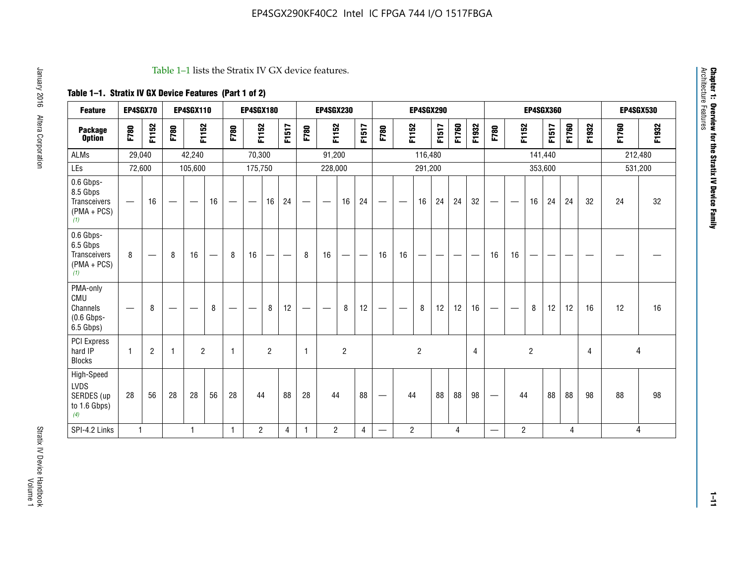#### Table 1–1 lists the Stratix IV GX device features.

## **Table 1–1. Stratix IV GX Device Features (Part 1 of 2)**

| <b>Feature</b>                                                 | EP4SGX70                 |                |                                  | <b>EP4SGX110</b>  |    |                                | <b>EP4SGX180</b>               |                |       |              | <b>EP4SGX230</b>         |                |       |                   |                | <b>EP4SGX290</b> |       |       |                |                                 |                   | <b>EP4SGX360</b> |         |       | <b>EP4SGX530</b> |         |         |
|----------------------------------------------------------------|--------------------------|----------------|----------------------------------|-------------------|----|--------------------------------|--------------------------------|----------------|-------|--------------|--------------------------|----------------|-------|-------------------|----------------|------------------|-------|-------|----------------|---------------------------------|-------------------|------------------|---------|-------|------------------|---------|---------|
| <b>Package</b><br><b>Option</b>                                | F780                     | F1152          | F780                             | F1152             |    | F780                           | F1152                          |                | F1517 | F780         | F1152                    |                | F1517 | F780              | F1152          |                  | F1517 | F1760 | F1932          | F780                            | F1152             |                  | F1517   | F1760 | F1932            | F1760   | F1932   |
| <b>ALMs</b>                                                    | 29,040                   |                |                                  | 42,240            |    |                                | 70,300                         |                |       |              | 91,200                   |                |       |                   |                | 116,480          |       |       |                |                                 |                   |                  | 141,440 |       |                  | 212,480 |         |
| LEs                                                            | 72,600                   |                |                                  | 105,600           |    |                                | 175,750                        |                |       |              | 228,000                  |                |       |                   |                | 291,200          |       |       |                |                                 |                   |                  | 353,600 |       |                  |         | 531,200 |
| 0.6 Gbps-<br>8.5 Gbps<br>Transceivers<br>$(PMA + PCs)$<br>(1)  | $\overline{\phantom{0}}$ | 16             | $\hspace{0.05cm}$                | $\hspace{0.05cm}$ | 16 | $\qquad \qquad \longleftarrow$ | $\hspace{0.05cm}$              | 16             | 24    |              | $\overline{\phantom{a}}$ | 16             | 24    | —                 |                | 16               | 24    | 24    | 32             | $\overline{\phantom{0}}$        | $\hspace{0.05cm}$ | 16               | 24      | 24    | 32               | 24      | 32      |
| 0.6 Gbps-<br>6.5 Gbps<br>Transceivers<br>$(PMA + PCs)$<br>(1)  | 8                        |                | 8                                | 16                |    | 8                              | 16                             | ÷              |       | 8            | 16                       | —              |       | 16                | 16             |                  |       |       |                | 16                              | 16                |                  |         |       |                  |         |         |
| PMA-only<br>CMU<br>Channels<br>$(0.6$ Gbps-<br>6.5 Gbps)       | $\overline{\phantom{0}}$ | 8              | $\overbrace{\phantom{12322111}}$ |                   | 8  | $\qquad \qquad \longleftarrow$ | $\qquad \qquad \longleftarrow$ | 8              | 12    |              |                          | 8              | 12    | $\hspace{0.05cm}$ |                | 8                | 12    | 12    | 16             | $\overline{\phantom{0}}$        | $\hspace{0.05cm}$ | 8                | 12      | 12    | 16               | 12      | 16      |
| <b>PCI Express</b><br>hard IP<br><b>Blocks</b>                 | $\mathbf{1}$             | $\overline{2}$ | $\mathbf 1$                      | $\overline{2}$    |    | $\mathbf{1}$                   |                                | $\overline{2}$ |       | $\mathbf{1}$ |                          | $\overline{c}$ |       |                   |                | $\overline{c}$   |       |       | $\overline{4}$ |                                 |                   | $\overline{2}$   |         |       | 4                |         | 4       |
| High-Speed<br><b>LVDS</b><br>SERDES (up<br>to 1.6 Gbps)<br>(4) | 28                       | 56             | 28                               | 28                | 56 | 28                             | 44                             |                | 88    | 28           | 44                       |                | 88    | —                 | 44             |                  | 88    | 88    | 98             | $\hspace{0.1mm}-\hspace{0.1mm}$ | 44                |                  | 88      | 88    | 98               | 88      | 98      |
| SPI-4.2 Links                                                  | $\mathbf{1}$             |                |                                  | 1                 |    | $\mathbf{1}$                   | $\overline{c}$                 |                | 4     | 1            | $\overline{c}$           |                | 4     | —                 | $\overline{2}$ |                  |       | 4     |                | $\overline{\phantom{0}}$        | $\overline{2}$    |                  |         | 4     |                  |         | 4       |

Architecture Features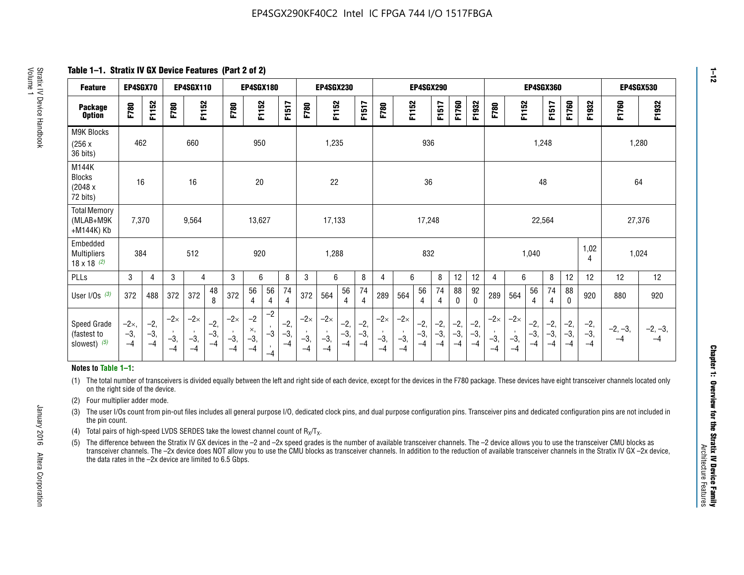**Table 1–1. Stratix IV GX Device Features (Part 2 of 2)**

| <b>Feature</b>                                       | EP4SGX70                      |                        |                             | <b>EP4SGX110</b>            |                        |                             | <b>EP4SGX180</b>            |                      |                        |                             | <b>EP4SGX230</b>            |                        |                        |                             |                             |                        | EP4SGX290            |                      |                      |                             |                             |                        | <b>EP4SGX360</b>       |                      |                        | EP4SGX530         |                   |
|------------------------------------------------------|-------------------------------|------------------------|-----------------------------|-----------------------------|------------------------|-----------------------------|-----------------------------|----------------------|------------------------|-----------------------------|-----------------------------|------------------------|------------------------|-----------------------------|-----------------------------|------------------------|----------------------|----------------------|----------------------|-----------------------------|-----------------------------|------------------------|------------------------|----------------------|------------------------|-------------------|-------------------|
| <b>Package</b><br><b>Option</b>                      | F780                          | F1152                  | F780                        | F1152                       |                        | F780                        | F1152                       |                      | F1517                  | F780                        | F1152                       |                        | <b>F1517</b>           | F780                        | F1152                       |                        | F1517                | F1760                | F1932                | F780                        | F1152                       |                        | F1517                  | F1760                | F1932                  | F1760             | F1932             |
| M9K Blocks<br>(256x)<br>36 bits)                     | 462                           |                        |                             | 660                         |                        |                             | 950                         |                      |                        |                             | 1,235                       |                        |                        |                             |                             | 936                    |                      |                      |                      |                             |                             | 1,248                  |                        |                      |                        | 1,280             |                   |
| M144K<br><b>Blocks</b><br>(2048 x<br>72 bits)        | 16                            |                        |                             | 16                          |                        |                             | 20                          |                      |                        |                             | 22                          |                        |                        |                             |                             | 36                     |                      |                      |                      |                             |                             | 48                     |                        |                      |                        | 64                |                   |
| <b>Total Memory</b><br>(MLAB+M9K<br>+M144K) Kb       | 7,370                         |                        |                             | 9,564                       |                        |                             | 13,627                      |                      |                        |                             | 17,133                      |                        |                        |                             |                             | 17,248                 |                      |                      |                      |                             |                             | 22,564                 |                        |                      |                        | 27,376            |                   |
| Embedded<br><b>Multipliers</b><br>$18 \times 18$ (2) | 384                           |                        |                             | 512                         |                        |                             | 920                         |                      |                        |                             | 1,288                       |                        |                        |                             |                             | 832                    |                      |                      |                      |                             |                             | 1,040                  |                        |                      | 1,02<br>4              | 1,024             |                   |
| PLLs                                                 | 3                             | $\overline{4}$         | 3                           | 4                           |                        | 3                           | 6                           |                      | 8                      | 3                           | 6                           |                        | 8                      | 4                           | 6                           |                        | 8                    | 12                   | 12                   | 4                           | 6                           |                        | 8                      | 12                   | 12                     | 12                | 12                |
| User I/Os $(3)$                                      | 372                           | 488                    | 372                         | 372                         | 48<br>8                | 372                         | 56<br>$\overline{4}$        | 56<br>4              | 74<br>$\overline{4}$   | 372                         | 564                         | 56<br>$\overline{4}$   | 74<br>$\overline{4}$   | 289                         | 564                         | 56<br>4                | 74<br>4              | 88<br>0              | 92<br>$\mathbf 0$    | 289                         | 564                         | 56<br>4                | 74<br>4                | 88<br>$\mathbf{0}$   | 920                    | 880               | 920               |
| Speed Grade<br>(fastest to<br>slowest) (5)           | $-2\times$ ,<br>$-3,$<br>$-4$ | $-2,$<br>$-3,$<br>$-4$ | $-2\times$<br>$-3,$<br>$-4$ | $-2\times$<br>$-3,$<br>$-4$ | $-2,$<br>$-3,$<br>$-4$ | $-2\times$<br>$-3,$<br>$-4$ | $-2$<br>×,<br>$-3,$<br>$-4$ | $-2$<br>$-3$<br>$-4$ | $-2,$<br>$-3,$<br>$-4$ | $-2\times$<br>$-3,$<br>$-4$ | $-2\times$<br>$-3,$<br>$-4$ | $-2,$<br>$-3,$<br>$-4$ | $-2,$<br>$-3,$<br>$-4$ | $-2\times$<br>$-3,$<br>$-4$ | $-2\times$<br>$-3,$<br>$-4$ | $-2,$<br>$-3,$<br>$-4$ | $-2,$<br>-3,<br>$-4$ | $-2,$<br>-3,<br>$-4$ | $-2,$<br>-3,<br>$-4$ | $-2\times$<br>$-3,$<br>$-4$ | $-2\times$<br>$-3,$<br>$-4$ | $-2,$<br>$-3,$<br>$-4$ | $-2,$<br>$-3,$<br>$-4$ | $-2,$<br>-3,<br>$-4$ | $-2,$<br>$-3,$<br>$-4$ | $-2, -3,$<br>$-4$ | $-2, -3,$<br>$-4$ |

#### **Notes to Table 1–1:**

(1) The total number of transceivers is divided equally between the left and right side of each device, except for the devices in the F780 package. These devices have eight transceiver channels located only on the right side of the device.

- (2) Four multiplier adder mode.
- (3) The user I/Os count from pin-out files includes all general purpose I/O, dedicated clock pins, and dual purpose configuration pins. Transceiver pins and dedicated configuration pins are not included in the pin count.
- (4) Total pairs of high-speed LVDS SERDES take the lowest channel count of  $R_X/T_X$ .
- (5) The difference between the Stratix IV GX devices in the –2 and –2x speed grades is the number of available transceiver channels. The –2 device allows you to use the transceiver CMU blocks as transceiver channels. The –2x device does NOT allow you to use the CMU blocks as transceiver channels. In addition to the reduction of available transceiver channels in the Stratix IV GX –2x device, the data rates in the –2x device are limited to 6.5 Gbps.

January 2016 Altera Corporation

Altera Corporation

January 2016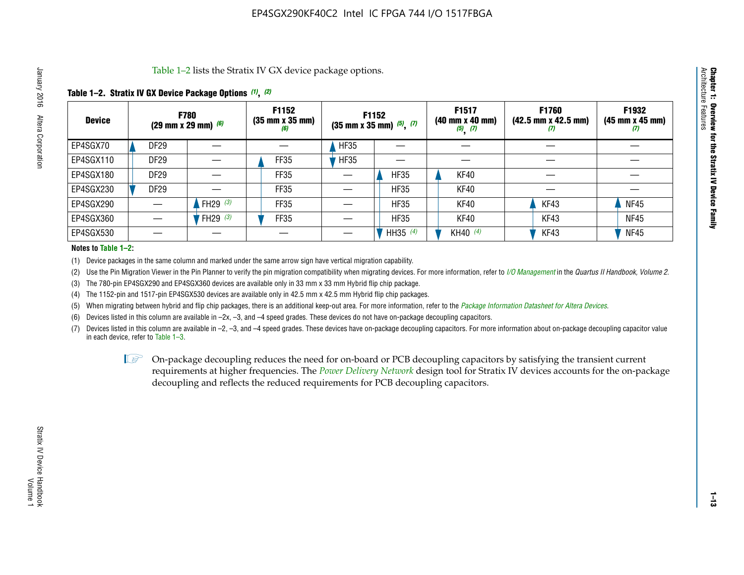Table 1–2 lists the Stratix IV GX device package options.

#### **Table 1–2. Stratix IV GX Device Package Options** *(1)***,** *(2)*

| <b>Device</b> |                  | <b>F780</b><br>(29 mm x 29 mm) $(6)$ | F1152<br>$(35 \, \text{mm} \times 35 \, \text{mm})$<br>(6) |             | <b>F1152</b><br>$(35 \text{ mm} \times 35 \text{ mm})$ $(5)$ , $(7)$ | F1517<br>(40 mm x 40 mm)<br>$(5)$ $(7)$ | <b>F1760</b><br>$(42.5 \text{ mm} \times 42.5 \text{ mm})$<br>Ø | F1932<br>$(45 \, \text{mm} \times 45 \, \text{mm})$<br>(7) |
|---------------|------------------|--------------------------------------|------------------------------------------------------------|-------------|----------------------------------------------------------------------|-----------------------------------------|-----------------------------------------------------------------|------------------------------------------------------------|
| EP4SGX70      | <b>DF29</b>      |                                      |                                                            | <b>HF35</b> |                                                                      |                                         |                                                                 |                                                            |
| EP4SGX110     | <b>DF29</b>      |                                      | FF35                                                       | <b>HF35</b> |                                                                      |                                         |                                                                 |                                                            |
| EP4SGX180     | DF <sub>29</sub> |                                      | FF35                                                       |             | <b>HF35</b>                                                          | KF40                                    |                                                                 |                                                            |
| EP4SGX230     | DF <sub>29</sub> |                                      | FF35                                                       |             | <b>HF35</b>                                                          | KF40                                    |                                                                 |                                                            |
| EP4SGX290     |                  | FH29 $(3)$                           | FF35                                                       |             | <b>HF35</b>                                                          | KF40                                    | KF43                                                            | <b>NF45</b>                                                |
| EP4SGX360     |                  | FH29 (3)                             | FF35                                                       |             | <b>HF35</b>                                                          | KF40                                    | KF43                                                            | <b>NF45</b>                                                |
| EP4SGX530     |                  |                                      |                                                            |             | HH35 $(4)$                                                           | KH40 (4)                                | KF43                                                            | <b>NF45</b>                                                |

#### **Notes to Table 1–2:**

(1) Device packages in the same column and marked under the same arrow sign have vertical migration capability.

(2) Use the Pin Migration Viewer in the Pin Planner to verify the pin migration compatibility when migrating devices. For more information, refer to *[I/O Management](http://www.altera.com/literature/hb/qts/qts_qii52013.pdf)* in the *Quartus II Handbook, Volume 2*.

(3) The 780-pin EP4SGX290 and EP4SGX360 devices are available only in 33 mm x 33 mm Hybrid flip chip package.

(4) The 1152-pin and 1517-pin EP4SGX530 devices are available only in 42.5 mm x 42.5 mm Hybrid flip chip packages.

(5) When migrating between hybrid and flip chip packages, there is an additional keep-out area. For more information, refer to the *[Package Information Datasheet for Altera Devices](http://www.altera.com/literature/ds/dspkg.pdf)*.

(6) Devices listed in this column are available in –2x, –3, and –4 speed grades. These devices do not have on-package decoupling capacitors.

(7) Devices listed in this column are available in –2, –3, and –4 speed grades. These devices have on-package decoupling capacitors. For more information about on-package decoupling capacitor value in each device, refer to Table 1–3.

 $\mathbb{L}$ s On-package decoupling reduces the need for on-board or PCB decoupling capacitors by satisfying the transient current requirements at higher frequencies. The *[Power Delivery Network](http://www.altera.com/literature/ug/pdn_tool_stxiv.zip)* design tool for Stratix IV devices accounts for the on-package decoupling and reflects the reduced requirements for PCB decoupling capacitors.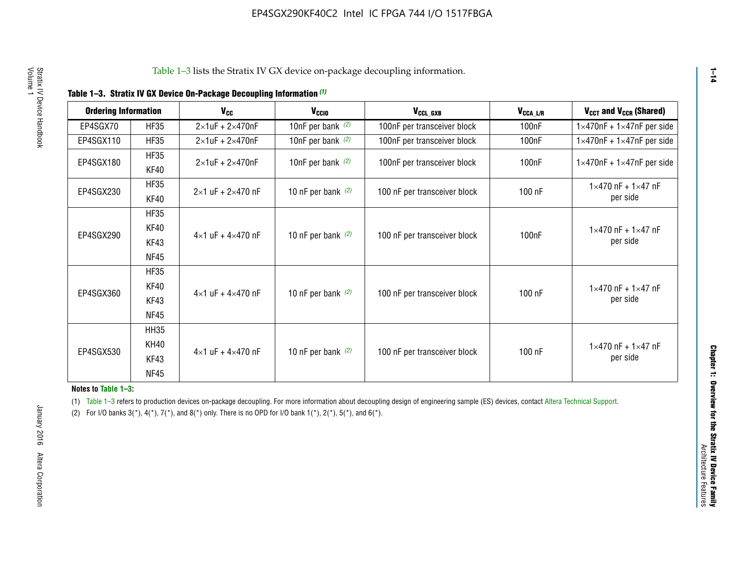|  |  | Table 1-3. Stratix IV GX Device On-Package Decoupling Information (1) |  |  |
|--|--|-----------------------------------------------------------------------|--|--|
|--|--|-----------------------------------------------------------------------|--|--|

| <b>Ordering Information</b> |             | <b>V<sub>cc</sub></b>               | V <sub>ccio</sub>    | V <sub>CCL_GXB</sub>         | $V_{\texttt{CCA}\_\textsf{L/R}}$ | $V_{CCT}$ and $V_{CCR}$ (Shared)              |  |
|-----------------------------|-------------|-------------------------------------|----------------------|------------------------------|----------------------------------|-----------------------------------------------|--|
|                             |             |                                     |                      |                              |                                  |                                               |  |
| EP4SGX70                    | <b>HF35</b> | $2\times1$ uF + $2\times470$ nF     | 10nF per bank $(2)$  | 100nF per transceiver block  | 100nF                            | $1 \times 470$ nF + $1 \times 47$ nF per side |  |
| EP4SGX110                   | <b>HF35</b> | $2\times1$ uF + 2 $\times$ 470nF    | 10nF per bank $(2)$  | 100nF per transceiver block  | 100 <sub>nF</sub>                | $1\times470$ nF + $1\times47$ nF per side     |  |
| EP4SGX180                   | <b>HF35</b> | $2\times1$ uF + $2\times470$ nF     | 10nF per bank $(2)$  | 100nF per transceiver block  | 100 <sub>n</sub> F               | $1 \times 470$ nF + $1 \times 47$ nF per side |  |
|                             | KF40        |                                     |                      |                              |                                  |                                               |  |
|                             | <b>HF35</b> |                                     |                      |                              |                                  | $1 \times 470$ nF + $1 \times 47$ nF          |  |
| EP4SGX230                   | KF40        | $2\times1$ uF + $2\times470$ nF     | 10 nF per bank $(2)$ | 100 nF per transceiver block | 100 nF                           | per side                                      |  |
|                             | <b>HF35</b> |                                     |                      |                              |                                  |                                               |  |
|                             | KF40        |                                     |                      |                              |                                  | $1 \times 470$ nF + $1 \times 47$ nF          |  |
| EP4SGX290                   | KF43        | $4 \times 1$ uF + $4 \times 470$ nF | 10 nF per bank $(2)$ | 100 nF per transceiver block | 100nF                            | per side                                      |  |
|                             | <b>NF45</b> |                                     |                      |                              |                                  |                                               |  |
|                             | <b>HF35</b> |                                     |                      |                              |                                  |                                               |  |
|                             | KF40        |                                     |                      |                              |                                  | $1 \times 470$ nF + $1 \times 47$ nF          |  |
| EP4SGX360                   | KF43        | $4 \times 1$ uF + $4 \times 470$ nF | 10 nF per bank $(2)$ | 100 nF per transceiver block | 100 nF                           | per side                                      |  |
|                             | <b>NF45</b> |                                     |                      |                              |                                  |                                               |  |
|                             | <b>HH35</b> |                                     |                      |                              |                                  |                                               |  |
|                             | <b>KH40</b> |                                     |                      |                              |                                  | $1 \times 470$ nF + $1 \times 47$ nF          |  |
| EP4SGX530                   | KF43        | $4 \times 1$ uF + $4 \times 470$ nF | 10 nF per bank $(2)$ | 100 nF per transceiver block | 100 nF                           | per side                                      |  |
|                             | <b>NF45</b> |                                     |                      |                              |                                  |                                               |  |

**Notes to Table 1–3:**

(1) Table 1-3 refers to production devices on-package decoupling. For more information about decoupling design of engineering sample (ES) devices, contact [Altera Technical Support](http://mysupport.altera.com/eservice/login.asp).

(2) For I/O banks  $3(*)$ ,  $4(*)$ ,  $7(*)$ , and  $8(*)$  only. There is no OPD for I/O bank  $1(*)$ ,  $2(*)$ ,  $5(*)$ , and  $6(*)$ .

**1–14**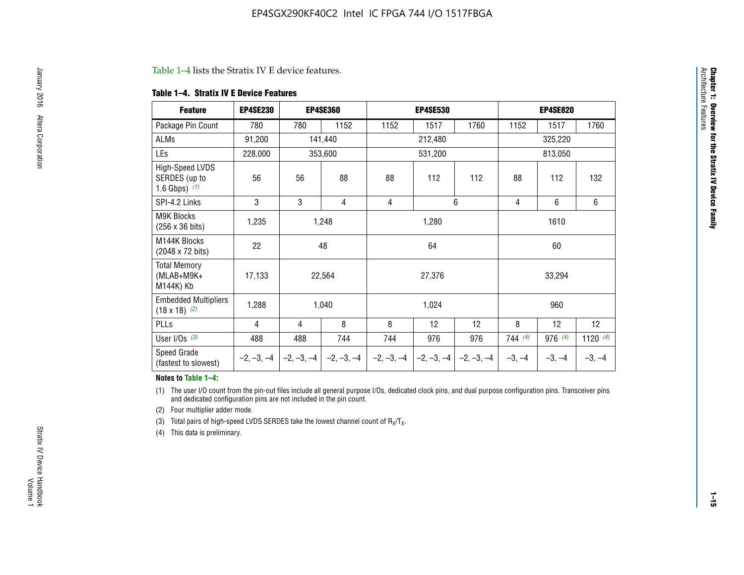#### Table 1–4 lists the Stratix IV E device features.

#### **Table 1–4. Stratix IV E Device Features**

| <b>Feature</b>                                      | <b>EP4SE230</b> |     | <b>EP4SE360</b>                        |              | <b>EP4SE530</b> |              | <b>EP4SE820</b> |          |            |  |
|-----------------------------------------------------|-----------------|-----|----------------------------------------|--------------|-----------------|--------------|-----------------|----------|------------|--|
| Package Pin Count                                   | 780             | 780 | 1152                                   | 1152         | 1517            | 1760         | 1152            | 1517     | 1760       |  |
| ALMs                                                | 91,200          |     | 141,440                                |              | 212,480         |              |                 | 325,220  |            |  |
| LEs                                                 | 228,000         |     | 353,600                                |              | 531,200         |              |                 | 813,050  |            |  |
| High-Speed LVDS<br>SERDES (up to<br>1.6 Gbps) $(1)$ | 56              | 56  | 88                                     | 88           | 112             | 112          | 88              | 112      | 132        |  |
| SPI-4.2 Links                                       | 3               | 3   | 4                                      | 4            |                 | 6            | 4               | 6        | 6          |  |
| <b>M9K Blocks</b><br>(256 x 36 bits)                | 1,235           |     | 1,248                                  |              | 1,280           |              | 1610            |          |            |  |
| M144K Blocks<br>(2048 x 72 bits)                    | 22              |     | 48                                     |              |                 |              |                 | 60       |            |  |
| <b>Total Memory</b><br>$(MLAB+M9K+$<br>M144K) Kb    | 17,133          |     | 22,564                                 |              | 27,376          |              | 33,294          |          |            |  |
| <b>Embedded Multipliers</b><br>$(18 \times 18)$ (2) | 1,288           |     | 1,040                                  |              | 1,024           |              |                 | 960      |            |  |
| PLLs                                                | 4               | 4   | 8                                      | 8            | 12              | 12           | 8               | 12       | 12         |  |
| User I/Os $(3)$                                     | 488             | 488 | 744                                    | 744          | 976             | 976          | 744(4)          | 976 (4)  | 1120 $(4)$ |  |
| Speed Grade<br>(fastest to slowest)                 |                 |     | $-2, -3, -4$ $-2, -3, -4$ $-2, -3, -4$ | $-2, -3, -4$ | $-2, -3, -4$    | $-2, -3, -4$ | $-3, -4$        | $-3, -4$ | $-3, -4$   |  |

#### **Notes to Table 1–4:**

(1) The user I/O count from the pin-out files include all general purpose I/Os, dedicated clock pins, and dual purpose configuration pins. Transceiver pins and dedicated configuration pins are not included in the pin count.

(2) Four multiplier adder mode.

(3) Total pairs of high-speed LVDS SERDES take the lowest channel count of  $R_X/T_X$ .

(4) This data is preliminary.

**Chapter 1: Overview for the Stratix IV Device Family**

**Chapter 1: Overview for the Stratix IV Device Family**<br>Architecture Faatures

Architecture Features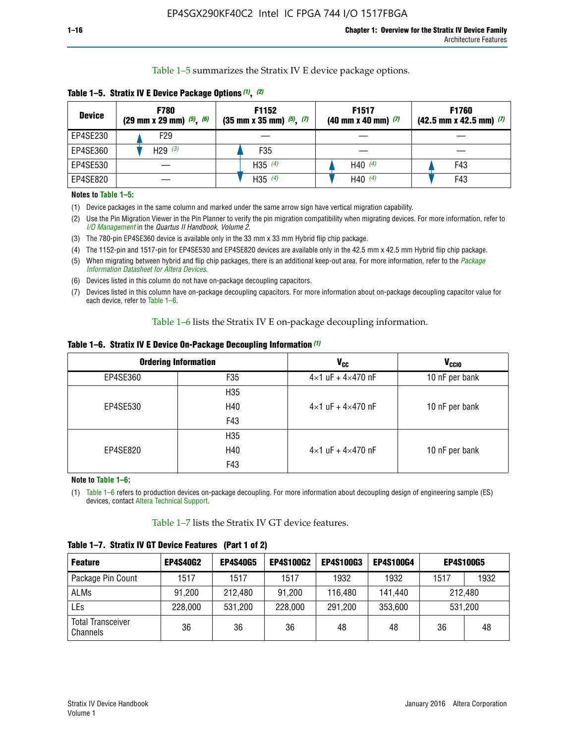Table 1–5 summarizes the Stratix IV E device package options.

| <b>Device</b> | <b>F780</b><br>$(29 \text{ mm} \times 29 \text{ mm})$ $(5)$ , $(6)$ | F1152<br>$(35 \text{ mm} \times 35 \text{ mm})$ $(5)$ $(7)$ | F <sub>1517</sub><br>$(40 \text{ mm} \times 40 \text{ mm})$ (7) | <b>F1760</b><br>$(42.5$ mm x 42.5 mm) $(7)$ |
|---------------|---------------------------------------------------------------------|-------------------------------------------------------------|-----------------------------------------------------------------|---------------------------------------------|
| EP4SE230      | F <sub>29</sub>                                                     |                                                             |                                                                 |                                             |
| EP4SE360      | H29 $(3)$                                                           | F35                                                         |                                                                 |                                             |
| EP4SE530      |                                                                     | H35 $(4)$                                                   | H40 $(4)$                                                       | F43                                         |
| EP4SE820      |                                                                     | H35 $(4)$                                                   | H40 $(4)$                                                       | F43                                         |

**Table 1–5. Stratix IV E Device Package Options** *(1)***,** *(2)*

#### **Notes to Table 1–5:**

(1) Device packages in the same column and marked under the same arrow sign have vertical migration capability.

(2) Use the Pin Migration Viewer in the Pin Planner to verify the pin migration compatibility when migrating devices. For more information, refer to *[I/O Management](http://www.altera.com/literature/hb/qts/qts_qii52013.pdf)* in the *Quartus II Handbook, Volume 2*.

(3) The 780-pin EP4SE360 device is available only in the 33 mm x 33 mm Hybrid flip chip package.

(4) The 1152-pin and 1517-pin for EP4SE530 and EP4SE820 devices are available only in the 42.5 mm x 42.5 mm Hybrid flip chip package.

(5) When migrating between hybrid and flip chip packages, there is an additional keep-out area. For more information, refer to the *[Package](http://www.altera.com/literature/ds/dspkg.pdf)  [Information Datasheet for Altera Devices](http://www.altera.com/literature/ds/dspkg.pdf)*.

(6) Devices listed in this column do not have on-package decoupling capacitors.

(7) Devices listed in this column have on-package decoupling capacitors. For more information about on-package decoupling capacitor value for each device, refer to Table 1–6.

Table 1–6 lists the Stratix IV E on-package decoupling information.

| Table 1–6. Stratix IV E Device On-Package Decoupling Information (1) |  |  |  |  |  |
|----------------------------------------------------------------------|--|--|--|--|--|
|----------------------------------------------------------------------|--|--|--|--|--|

|          | <b>Ordering Information</b> | V <sub>cc</sub>                     | <b>V<sub>CCIO</sub></b> |
|----------|-----------------------------|-------------------------------------|-------------------------|
| EP4SE360 | F <sub>35</sub>             | $4 \times 1$ uF + $4 \times 470$ nF | 10 nF per bank          |
|          | H35                         |                                     |                         |
| EP4SE530 | H40                         | $4\times1$ uF + $4\times470$ nF     | 10 nF per bank          |
|          | F43                         |                                     |                         |
|          | H35                         |                                     |                         |
| EP4SE820 | H40                         | $4\times1$ uF + $4\times470$ nF     | 10 nF per bank          |
|          | F43                         |                                     |                         |

**Note to Table 1–6:**

(1) Table 1–6 refers to production devices on-package decoupling. For more information about decoupling design of engineering sample (ES) devices, contact [Altera Technical Support](http://mysupport.altera.com/eservice/login.asp).

Table 1–7 lists the Stratix IV GT device features.

| <b>Feature</b>                       | <b>EP4S40G2</b> | <b>EP4S40G5</b> | <b>EP4S100G2</b> | <b>EP4S100G3</b> | <b>EP4S100G4</b> | <b>EP4S100G5</b> |         |
|--------------------------------------|-----------------|-----------------|------------------|------------------|------------------|------------------|---------|
| Package Pin Count                    | 1517            | 1517            | 1517             | 1932             | 1932             | 1517             | 1932    |
| <b>ALMs</b>                          | 91,200          | 212,480         | 91,200           | 116,480          | 141,440          |                  | 212.480 |
| LEs                                  | 228,000         | 531,200         | 228,000          | 291,200          | 353,600          | 531,200          |         |
| <b>Total Transceiver</b><br>Channels | 36              | 36              | 36               | 48               | 48               | 36               | 48      |

**Table 1–7. Stratix IV GT Device Features (Part 1 of 2)**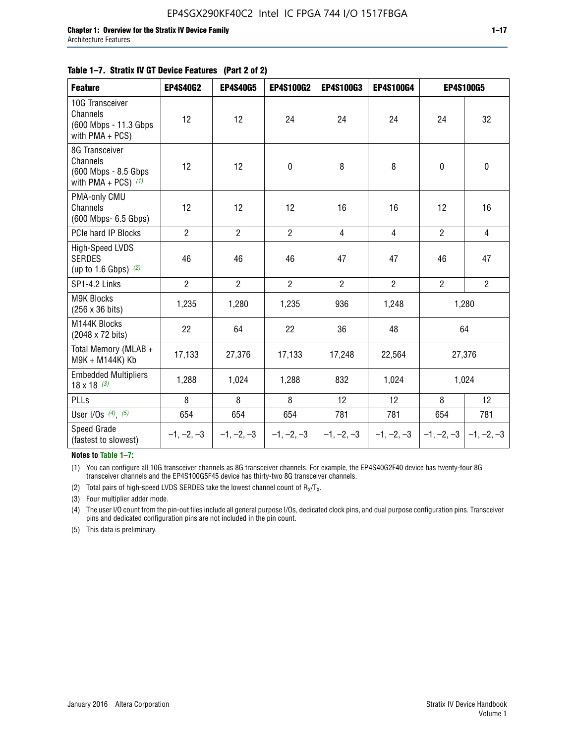|  | Table 1–7. Stratix IV GT Device Features (Part 2 of 2) |  |
|--|--------------------------------------------------------|--|
|--|--------------------------------------------------------|--|

| <b>Feature</b>                                                              | <b>EP4S40G2</b> | <b>EP4S40G5</b> | <b>EP4S100G2</b> | <b>EP4S100G3</b> | EP4S100G4      | <b>EP4S100G5</b>          |                |
|-----------------------------------------------------------------------------|-----------------|-----------------|------------------|------------------|----------------|---------------------------|----------------|
| 10G Transceiver<br>Channels<br>(600 Mbps - 11.3 Gbps)<br>with $PMA + PCS$ ) | 12              | 12              | 24               | 24               | 24             | 24                        | 32             |
| 8G Transceiver<br>Channels<br>(600 Mbps - 8.5 Gbps<br>with PMA + PCS) $(1)$ | 12              | 12              | $\pmb{0}$        | 8                | 8              | $\mathbf 0$               | 0              |
| PMA-only CMU<br>Channels<br>(600 Mbps- 6.5 Gbps)                            | 12              | 12              | 12               | 16               | 16             | 12                        | 16             |
| PCIe hard IP Blocks                                                         | $\overline{2}$  | $\overline{2}$  | $\overline{2}$   | $\overline{4}$   | $\overline{4}$ | $\overline{2}$            | $\overline{4}$ |
| High-Speed LVDS<br><b>SERDES</b><br>(up to 1.6 Gbps) $(2)$                  | 46              | 46              | 46               | 47               | 47             | 46                        | 47             |
| SP1-4.2 Links                                                               | $\overline{2}$  | $\overline{2}$  | $\overline{2}$   | $\overline{2}$   | $\overline{2}$ | $\overline{2}$            | $\overline{2}$ |
| <b>M9K Blocks</b><br>(256 x 36 bits)                                        | 1,235           | 1,280           | 1,235            | 936              | 1,248          |                           | 1,280          |
| M144K Blocks<br>(2048 x 72 bits)                                            | 22              | 64              | 22               | 36               | 48             | 64                        |                |
| Total Memory (MLAB +<br>M9K + M144K) Kb                                     | 17,133          | 27,376          | 17,133           | 17,248           | 22,564         |                           | 27,376         |
| <b>Embedded Multipliers</b><br>$18 \times 18^{(3)}$                         | 1,288           | 1,024           | 1,288            | 832              | 1,024          | 1,024                     |                |
| PLLs                                                                        | 8               | 8               | 8                | 12               | 12             | 8                         | 12             |
| User I/Os $(4)$ , $(5)$                                                     | 654             | 654             | 654              | 781              | 781            | 654                       | 781            |
| <b>Speed Grade</b><br>(fastest to slowest)                                  | $-1, -2, -3$    | $-1, -2, -3$    | $-1, -2, -3$     | $-1, -2, -3$     | $-1, -2, -3$   | $-1, -2, -3$ $-1, -2, -3$ |                |

**Notes to Table 1–7:**

(1) You can configure all 10G transceiver channels as 8G transceiver channels. For example, the EP4S40G2F40 device has twenty-four 8G transceiver channels and the EP4S100G5F45 device has thirty-two 8G transceiver channels.

(2) Total pairs of high-speed LVDS SERDES take the lowest channel count of  $R_X/T_X$ .

(3) Four multiplier adder mode.

(4) The user I/O count from the pin-out files include all general purpose I/Os, dedicated clock pins, and dual purpose configuration pins. Transceiver pins and dedicated configuration pins are not included in the pin count.

(5) This data is preliminary.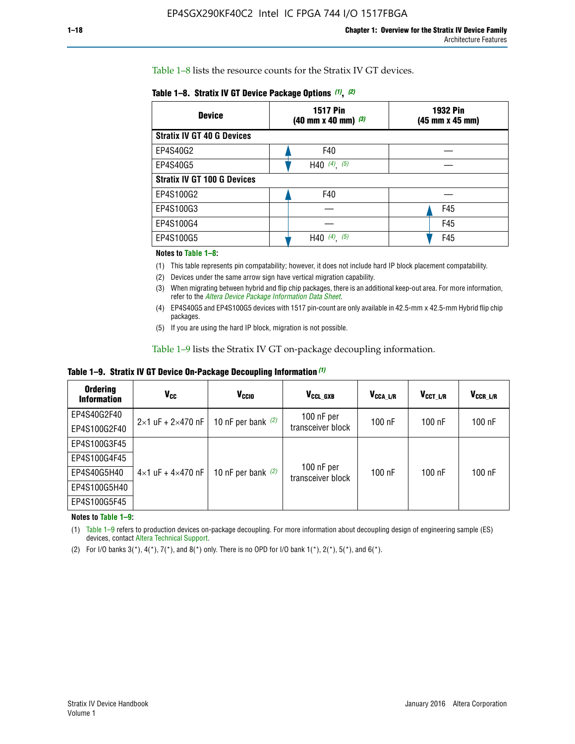Table 1–8 lists the resource counts for the Stratix IV GT devices.

| <b>Device</b>                      | <b>1517 Pin</b><br><b>1932 Pin</b><br>$(40 \text{ mm} \times 40 \text{ mm})$ $(3)$<br>(45 mm x 45 mm) |     |  |
|------------------------------------|-------------------------------------------------------------------------------------------------------|-----|--|
| <b>Stratix IV GT 40 G Devices</b>  |                                                                                                       |     |  |
| EP4S40G2                           | F40                                                                                                   |     |  |
| EP4S40G5                           | H40 $(4)$ , $(5)$                                                                                     |     |  |
| <b>Stratix IV GT 100 G Devices</b> |                                                                                                       |     |  |
| EP4S100G2                          | F40                                                                                                   |     |  |
| EP4S100G3                          |                                                                                                       | F45 |  |
| EP4S100G4                          |                                                                                                       | F45 |  |
| EP4S100G5                          | (5)<br>$(4)$ ,<br>H40                                                                                 | F45 |  |

#### **Notes to Table 1–8:**

(1) This table represents pin compatability; however, it does not include hard IP block placement compatability.

- (2) Devices under the same arrow sign have vertical migration capability.
- (3) When migrating between hybrid and flip chip packages, there is an additional keep-out area. For more information, refer to the *[Altera Device Package Information Data Sheet](http://www.altera.com/literature/ds/dspkg.pdf)*.
- (4) EP4S40G5 and EP4S100G5 devices with 1517 pin-count are only available in 42.5-mm x 42.5-mm Hybrid flip chip packages.
- (5) If you are using the hard IP block, migration is not possible.

Table 1–9 lists the Stratix IV GT on-package decoupling information.

**Table 1–9. Stratix IV GT Device On-Package Decoupling Information** *(1)*

| <b>Ordering</b><br><b>Information</b> | Vcc                                 | <b>V<sub>CCIO</sub></b> | V <sub>CCL GXB</sub>            | V <sub>CCA L/R</sub> | V <sub>CCT L/R</sub> | V <sub>CCR_L/R</sub> |
|---------------------------------------|-------------------------------------|-------------------------|---------------------------------|----------------------|----------------------|----------------------|
| EP4S40G2F40                           | $2 \times 1$ uF + $2 \times 470$ nF | 10 nF per bank $(2)$    | 100 nF per<br>transceiver block | $100$ nF             | $100$ nF             | 100 nF               |
| EP4S100G2F40                          |                                     |                         |                                 |                      |                      |                      |
| EP4S100G3F45                          |                                     | 10 nF per bank $(2)$    | 100 nF per<br>transceiver block | $100$ nF             | $100$ nF             | $100$ nF             |
| EP4S100G4F45                          |                                     |                         |                                 |                      |                      |                      |
| EP4S40G5H40                           | $4\times1$ uF + $4\times470$ nF     |                         |                                 |                      |                      |                      |
| EP4S100G5H40                          |                                     |                         |                                 |                      |                      |                      |
| EP4S100G5F45                          |                                     |                         |                                 |                      |                      |                      |

**Notes to Table 1–9:**

(1) Table 1–9 refers to production devices on-package decoupling. For more information about decoupling design of engineering sample (ES) devices, contact [Altera Technical Support](http://mysupport.altera.com/eservice/login.asp).

(2) For I/O banks  $3(*)$ ,  $4(*)$ ,  $7(*)$ , and  $8(*)$  only. There is no OPD for I/O bank  $1(*)$ ,  $2(*)$ ,  $5(*)$ , and  $6(*)$ .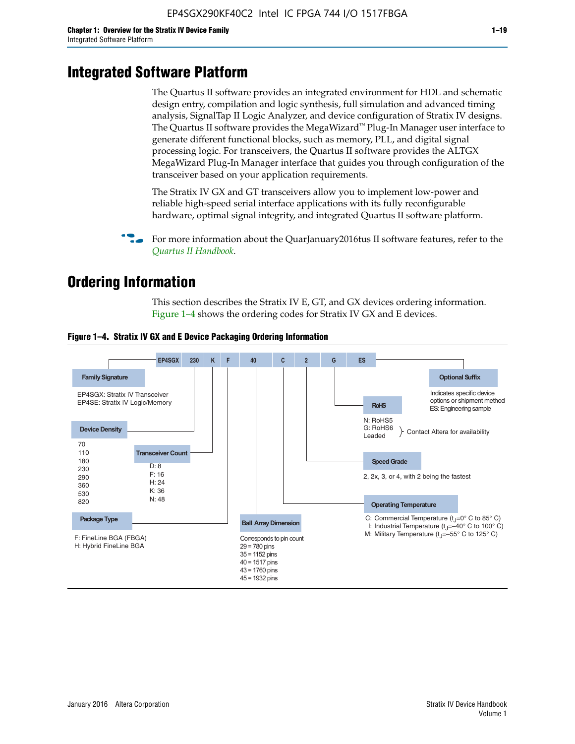# **Integrated Software Platform**

The Quartus II software provides an integrated environment for HDL and schematic design entry, compilation and logic synthesis, full simulation and advanced timing analysis, SignalTap II Logic Analyzer, and device configuration of Stratix IV designs. The Quartus II software provides the MegaWizard<sup> $M$ </sup> Plug-In Manager user interface to generate different functional blocks, such as memory, PLL, and digital signal processing logic. For transceivers, the Quartus II software provides the ALTGX MegaWizard Plug-In Manager interface that guides you through configuration of the transceiver based on your application requirements.

The Stratix IV GX and GT transceivers allow you to implement low-power and reliable high-speed serial interface applications with its fully reconfigurable hardware, optimal signal integrity, and integrated Quartus II software platform.

For more information about the QuarJanuary2016tus II software features, refer to the *[Quartus II Handbook](http://www.altera.com/literature/lit-qts.jsp)*.

# **Ordering Information**

This section describes the Stratix IV E, GT, and GX devices ordering information. Figure 1–4 shows the ordering codes for Stratix IV GX and E devices.



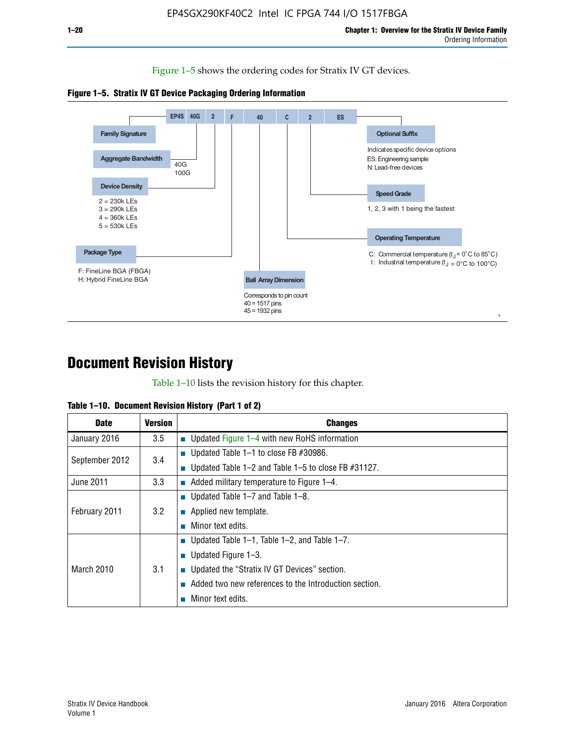Figure 1–5 shows the ordering codes for Stratix IV GT devices.





# **Document Revision History**

Table 1–10 lists the revision history for this chapter.

| Table 1–10. Document Revision History (Part 1 of 2) |  |  |  |  |  |
|-----------------------------------------------------|--|--|--|--|--|
|-----------------------------------------------------|--|--|--|--|--|

| <b>Date</b>       | <b>Version</b> | <b>Changes</b>                                              |
|-------------------|----------------|-------------------------------------------------------------|
| January 2016      | 3.5            | ■ Updated Figure 1–4 with new RoHS information              |
| September 2012    | 3.4            | ■ Updated Table 1–1 to close FB $#30986$ .                  |
|                   |                | Updated Table $1-2$ and Table $1-5$ to close FB $\#31127$ . |
| June 2011         | 3.3            | $\blacksquare$ Added military temperature to Figure 1–4.    |
| February 2011     |                | ■ Updated Table 1–7 and Table 1–8.                          |
|                   | 3.2            | $\blacksquare$ Applied new template.                        |
|                   |                | Minor text edits.                                           |
| <b>March 2010</b> |                | <b>Updated Table 1–1, Table 1–2, and Table 1–7.</b>         |
|                   |                | <b>U</b> Updated Figure 1–3.                                |
|                   | 3.1            | ■ Updated the "Stratix IV GT Devices" section.              |
|                   |                | Added two new references to the Introduction section.       |
|                   |                | Minor text edits.                                           |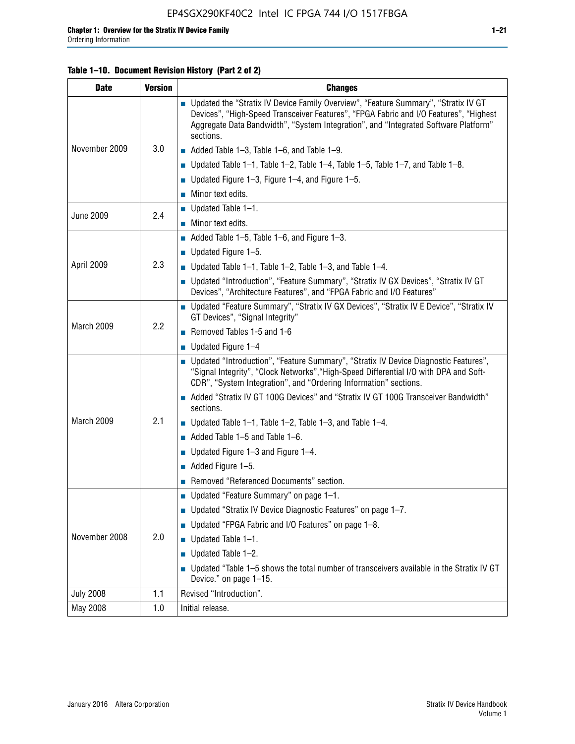#### **Table 1–10. Document Revision History (Part 2 of 2)**

| <b>Date</b>      | <b>Version</b> | <b>Changes</b>                                                                                                                                                                                                                                                                    |  |  |
|------------------|----------------|-----------------------------------------------------------------------------------------------------------------------------------------------------------------------------------------------------------------------------------------------------------------------------------|--|--|
|                  |                | ■ Updated the "Stratix IV Device Family Overview", "Feature Summary", "Stratix IV GT<br>Devices", "High-Speed Transceiver Features", "FPGA Fabric and I/O Features", "Highest<br>Aggregate Data Bandwidth", "System Integration", and "Integrated Software Platform"<br>sections. |  |  |
| November 2009    | 3.0            | $\blacksquare$ Added Table 1-3, Table 1-6, and Table 1-9.                                                                                                                                                                                                                         |  |  |
|                  |                | $\blacksquare$ Updated Table 1-1, Table 1-2, Table 1-4, Table 1-5, Table 1-7, and Table 1-8.                                                                                                                                                                                      |  |  |
|                  |                | ■ Updated Figure 1–3, Figure 1–4, and Figure 1–5.                                                                                                                                                                                                                                 |  |  |
|                  |                | $\blacksquare$ Minor text edits.                                                                                                                                                                                                                                                  |  |  |
| <b>June 2009</b> | 2.4            | $\blacksquare$ Updated Table 1-1.                                                                                                                                                                                                                                                 |  |  |
|                  |                | Minor text edits.                                                                                                                                                                                                                                                                 |  |  |
|                  |                | $\blacksquare$ Added Table 1–5, Table 1–6, and Figure 1–3.                                                                                                                                                                                                                        |  |  |
|                  |                | $\blacksquare$ Updated Figure 1-5.                                                                                                                                                                                                                                                |  |  |
| April 2009       | 2.3            | Updated Table $1-1$ , Table $1-2$ , Table $1-3$ , and Table $1-4$ .                                                                                                                                                                                                               |  |  |
|                  |                | ■ Updated "Introduction", "Feature Summary", "Stratix IV GX Devices", "Stratix IV GT<br>Devices", "Architecture Features", and "FPGA Fabric and I/O Features"                                                                                                                     |  |  |
|                  | 2.2            | ■ Updated "Feature Summary", "Stratix IV GX Devices", "Stratix IV E Device", "Stratix IV<br>GT Devices", "Signal Integrity"                                                                                                                                                       |  |  |
| March 2009       |                | Removed Tables 1-5 and 1-6                                                                                                                                                                                                                                                        |  |  |
|                  |                | Updated Figure 1-4                                                                                                                                                                                                                                                                |  |  |
|                  |                | ■ Updated "Introduction", "Feature Summary", "Stratix IV Device Diagnostic Features",<br>"Signal Integrity", "Clock Networks", "High-Speed Differential I/O with DPA and Soft-<br>CDR", "System Integration", and "Ordering Information" sections.                                |  |  |
|                  |                | Added "Stratix IV GT 100G Devices" and "Stratix IV GT 100G Transceiver Bandwidth"<br>sections.                                                                                                                                                                                    |  |  |
| March 2009       | 2.1            | <b>Updated Table 1–1, Table 1–2, Table 1–3, and Table 1–4.</b>                                                                                                                                                                                                                    |  |  |
|                  |                | $\blacksquare$ Added Table 1-5 and Table 1-6.                                                                                                                                                                                                                                     |  |  |
|                  |                | ■ Updated Figure $1-3$ and Figure $1-4$ .                                                                                                                                                                                                                                         |  |  |
|                  |                | $\blacksquare$ Added Figure 1-5.                                                                                                                                                                                                                                                  |  |  |
|                  |                | Removed "Referenced Documents" section.                                                                                                                                                                                                                                           |  |  |
|                  | 2.0            | Updated "Feature Summary" on page 1-1.                                                                                                                                                                                                                                            |  |  |
|                  |                | ■ Updated "Stratix IV Device Diagnostic Features" on page 1-7.                                                                                                                                                                                                                    |  |  |
| November 2008    |                | Updated "FPGA Fabric and I/O Features" on page 1-8.                                                                                                                                                                                                                               |  |  |
|                  |                | $\blacksquare$ Updated Table 1-1.                                                                                                                                                                                                                                                 |  |  |
|                  |                | Updated Table 1-2.                                                                                                                                                                                                                                                                |  |  |
|                  |                | Updated "Table 1-5 shows the total number of transceivers available in the Stratix IV GT<br>Device." on page 1-15.                                                                                                                                                                |  |  |
| <b>July 2008</b> | 1.1            | Revised "Introduction".                                                                                                                                                                                                                                                           |  |  |
| May 2008         | 1.0            | Initial release.                                                                                                                                                                                                                                                                  |  |  |